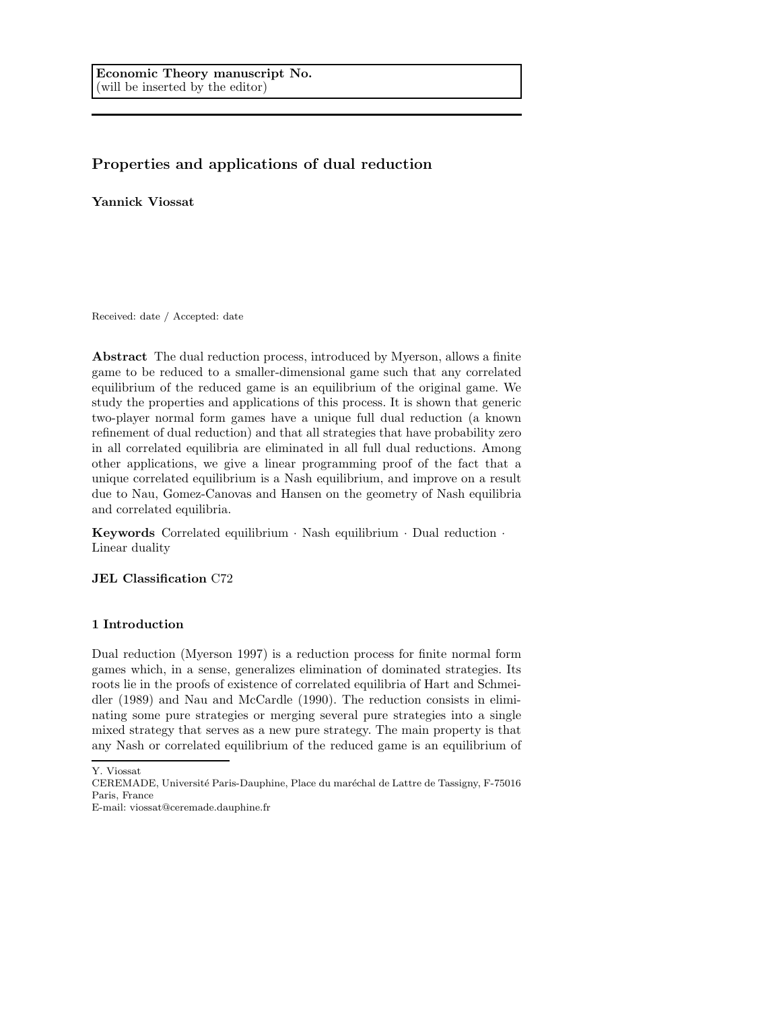# Properties and applications of dual reduction

Yannick Viossat

Received: date / Accepted: date

Abstract The dual reduction process, introduced by Myerson, allows a finite game to be reduced to a smaller-dimensional game such that any correlated equilibrium of the reduced game is an equilibrium of the original game. We study the properties and applications of this process. It is shown that generic two-player normal form games have a unique full dual reduction (a known refinement of dual reduction) and that all strategies that have probability zero in all correlated equilibria are eliminated in all full dual reductions. Among other applications, we give a linear programming proof of the fact that a unique correlated equilibrium is a Nash equilibrium, and improve on a result due to Nau, Gomez-Canovas and Hansen on the geometry of Nash equilibria and correlated equilibria.

Keywords Correlated equilibrium · Nash equilibrium · Dual reduction · Linear duality

# JEL Classification C72

# 1 Introduction

Dual reduction (Myerson 1997) is a reduction process for finite normal form games which, in a sense, generalizes elimination of dominated strategies. Its roots lie in the proofs of existence of correlated equilibria of Hart and Schmeidler (1989) and Nau and McCardle (1990). The reduction consists in eliminating some pure strategies or merging several pure strategies into a single mixed strategy that serves as a new pure strategy. The main property is that any Nash or correlated equilibrium of the reduced game is an equilibrium of

E-mail: viossat@ceremade.dauphine.fr

Y. Viossat

CEREMADE, Université Paris-Dauphine, Place du maréchal de Lattre de Tassigny, F-75016 Paris, France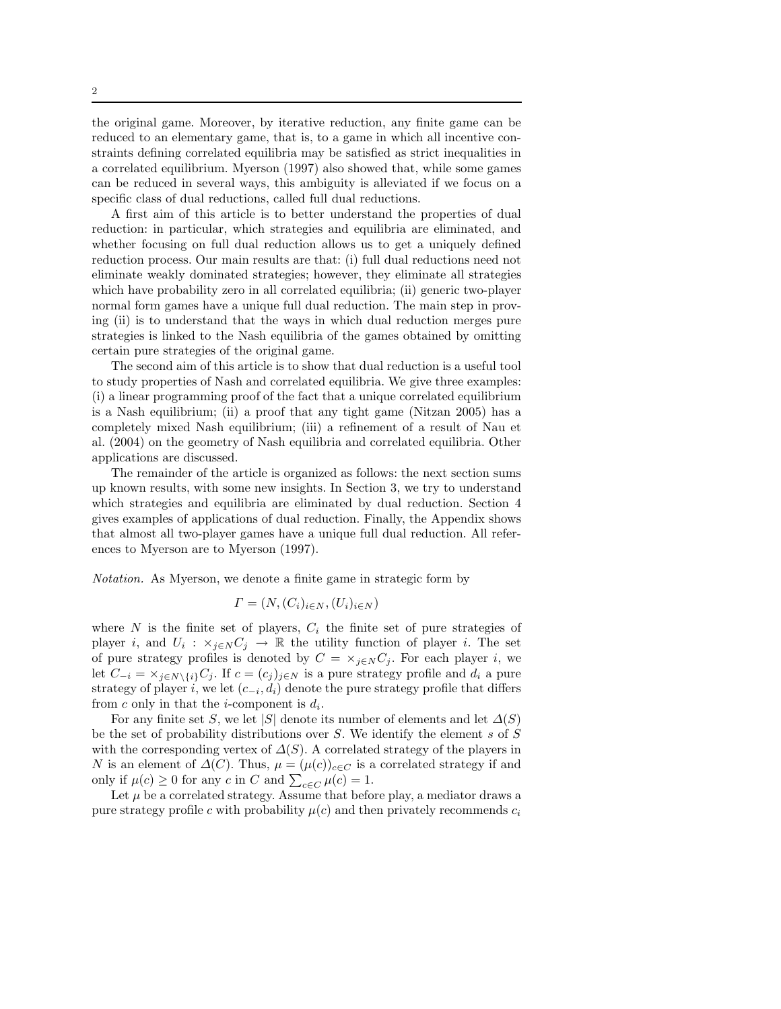the original game. Moreover, by iterative reduction, any finite game can be reduced to an elementary game, that is, to a game in which all incentive constraints defining correlated equilibria may be satisfied as strict inequalities in a correlated equilibrium. Myerson (1997) also showed that, while some games can be reduced in several ways, this ambiguity is alleviated if we focus on a specific class of dual reductions, called full dual reductions.

A first aim of this article is to better understand the properties of dual reduction: in particular, which strategies and equilibria are eliminated, and whether focusing on full dual reduction allows us to get a uniquely defined reduction process. Our main results are that: (i) full dual reductions need not eliminate weakly dominated strategies; however, they eliminate all strategies which have probability zero in all correlated equilibria; (ii) generic two-player normal form games have a unique full dual reduction. The main step in proving (ii) is to understand that the ways in which dual reduction merges pure strategies is linked to the Nash equilibria of the games obtained by omitting certain pure strategies of the original game.

The second aim of this article is to show that dual reduction is a useful tool to study properties of Nash and correlated equilibria. We give three examples: (i) a linear programming proof of the fact that a unique correlated equilibrium is a Nash equilibrium; (ii) a proof that any tight game (Nitzan 2005) has a completely mixed Nash equilibrium; (iii) a refinement of a result of Nau et al. (2004) on the geometry of Nash equilibria and correlated equilibria. Other applications are discussed.

The remainder of the article is organized as follows: the next section sums up known results, with some new insights. In Section 3, we try to understand which strategies and equilibria are eliminated by dual reduction. Section 4 gives examples of applications of dual reduction. Finally, the Appendix shows that almost all two-player games have a unique full dual reduction. All references to Myerson are to Myerson (1997).

Notation. As Myerson, we denote a finite game in strategic form by

$$
\Gamma = (N, (C_i)_{i \in N}, (U_i)_{i \in N})
$$

where N is the finite set of players,  $C_i$  the finite set of pure strategies of player *i*, and  $U_i$ :  $\times_{j\in N} C_j$  → R the utility function of player *i*. The set of pure strategy profiles is denoted by  $C = \times_{j \in N} C_j$ . For each player i, we let  $C_{-i} = \times_{i \in N \setminus \{i\}} C_i$ . If  $c = (c_i)_{i \in N}$  is a pure strategy profile and  $d_i$  a pure strategy of player i, we let  $(c_{-i}, d_i)$  denote the pure strategy profile that differs from c only in that the *i*-component is  $d_i$ .

For any finite set S, we let |S| denote its number of elements and let  $\Delta(S)$ be the set of probability distributions over  $S$ . We identify the element  $s$  of  $S$ with the corresponding vertex of  $\Delta(S)$ . A correlated strategy of the players in N is an element of  $\Delta(C)$ . Thus,  $\mu = (\mu(c))_{c \in C}$  is a correlated strategy if and only if  $\mu(c) \ge 0$  for any c in C and  $\sum_{c \in C} \mu(c) = 1$ .

Let  $\mu$  be a correlated strategy. Assume that before play, a mediator draws a pure strategy profile c with probability  $\mu(c)$  and then privately recommends  $c_i$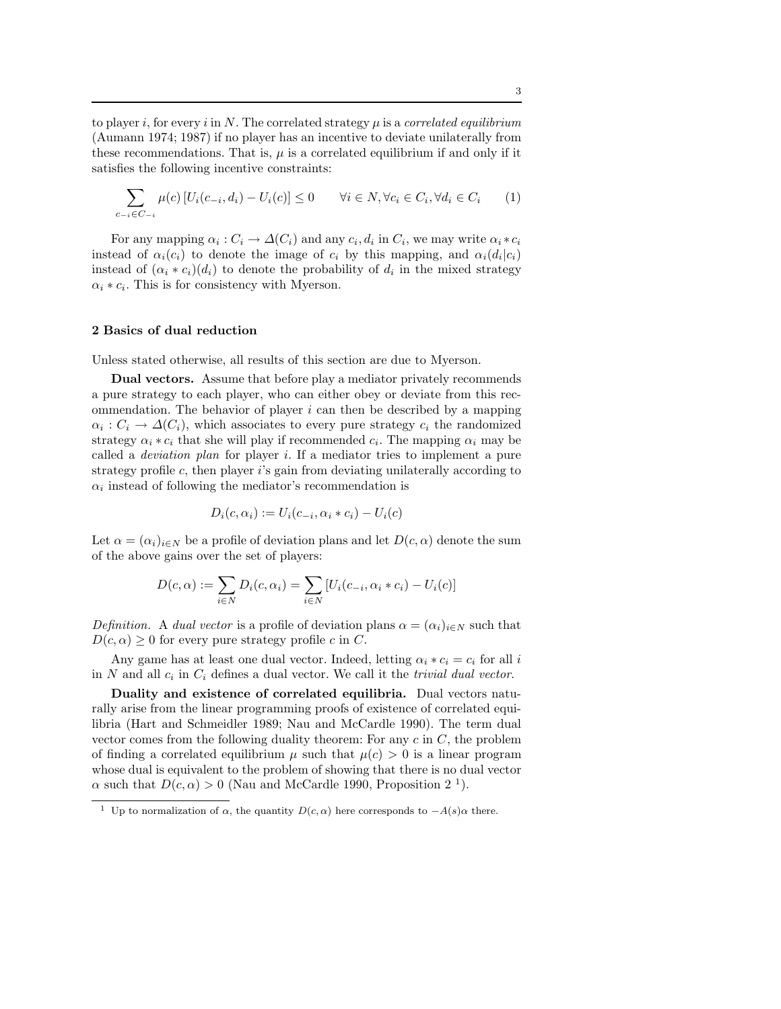to player i, for every i in N. The correlated strategy  $\mu$  is a correlated equilibrium (Aumann 1974; 1987) if no player has an incentive to deviate unilaterally from these recommendations. That is,  $\mu$  is a correlated equilibrium if and only if it satisfies the following incentive constraints:

$$
\sum_{c_{-i} \in C_{-i}} \mu(c) \left[ U_i(c_{-i}, d_i) - U_i(c) \right] \le 0 \qquad \forall i \in N, \forall c_i \in C_i, \forall d_i \in C_i \tag{1}
$$

For any mapping  $\alpha_i : C_i \to \Delta(C_i)$  and any  $c_i, d_i$  in  $C_i$ , we may write  $\alpha_i * c_i$ instead of  $\alpha_i(c_i)$  to denote the image of  $c_i$  by this mapping, and  $\alpha_i(d_i|c_i)$ instead of  $(\alpha_i * c_i)(d_i)$  to denote the probability of  $d_i$  in the mixed strategy  $\alpha_i * c_i$ . This is for consistency with Myerson.

### 2 Basics of dual reduction

Unless stated otherwise, all results of this section are due to Myerson.

Dual vectors. Assume that before play a mediator privately recommends a pure strategy to each player, who can either obey or deviate from this recommendation. The behavior of player  $i$  can then be described by a mapping  $\alpha_i: C_i \to \Delta(C_i)$ , which associates to every pure strategy  $c_i$  the randomized strategy  $\alpha_i * c_i$  that she will play if recommended  $c_i$ . The mapping  $\alpha_i$  may be called a deviation plan for player i. If a mediator tries to implement a pure strategy profile  $c$ , then player is gain from deviating unilaterally according to  $\alpha_i$  instead of following the mediator's recommendation is

$$
D_i(c, \alpha_i) := U_i(c_{-i}, \alpha_i * c_i) - U_i(c)
$$

Let  $\alpha = (\alpha_i)_{i \in N}$  be a profile of deviation plans and let  $D(c, \alpha)$  denote the sum of the above gains over the set of players:

$$
D(c, \alpha) := \sum_{i \in N} D_i(c, \alpha_i) = \sum_{i \in N} [U_i(c_{-i}, \alpha_i * c_i) - U_i(c)]
$$

Definition. A dual vector is a profile of deviation plans  $\alpha = (\alpha_i)_{i \in N}$  such that  $D(c, \alpha) \geq 0$  for every pure strategy profile c in C.

Any game has at least one dual vector. Indeed, letting  $\alpha_i * c_i = c_i$  for all i in N and all  $c_i$  in  $C_i$  defines a dual vector. We call it the *trivial dual vector*.

Duality and existence of correlated equilibria. Dual vectors naturally arise from the linear programming proofs of existence of correlated equilibria (Hart and Schmeidler 1989; Nau and McCardle 1990). The term dual vector comes from the following duality theorem: For any  $c$  in  $C$ , the problem of finding a correlated equilibrium  $\mu$  such that  $\mu(c) > 0$  is a linear program whose dual is equivalent to the problem of showing that there is no dual vector  $\alpha$  such that  $D(c, \alpha) > 0$  (Nau and McCardle 1990, Proposition 2<sup>-1</sup>).

<sup>&</sup>lt;sup>1</sup> Up to normalization of  $\alpha$ , the quantity  $D(c, \alpha)$  here corresponds to  $-A(s)\alpha$  there.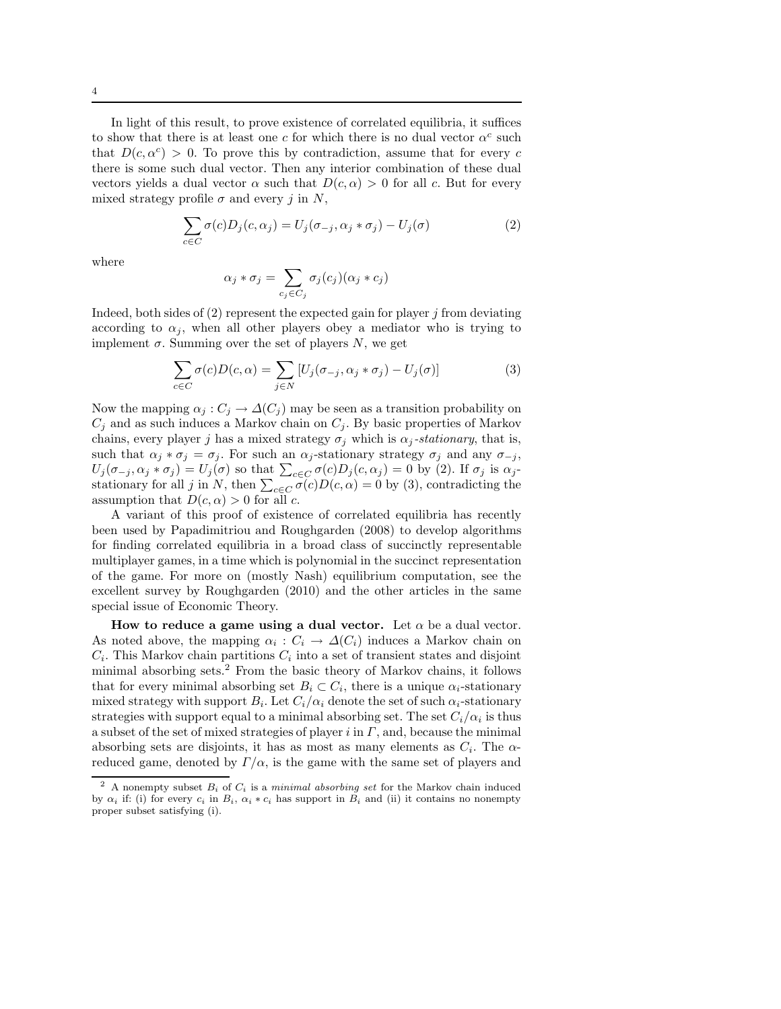In light of this result, to prove existence of correlated equilibria, it suffices to show that there is at least one c for which there is no dual vector  $\alpha^c$  such that  $D(c, \alpha^c) > 0$ . To prove this by contradiction, assume that for every c there is some such dual vector. Then any interior combination of these dual vectors yields a dual vector  $\alpha$  such that  $D(c, \alpha) > 0$  for all c. But for every mixed strategy profile  $\sigma$  and every j in N,

$$
\sum_{c \in C} \sigma(c) D_j(c, \alpha_j) = U_j(\sigma_{-j}, \alpha_j * \sigma_j) - U_j(\sigma)
$$
\n(2)

where

$$
\alpha_j * \sigma_j = \sum_{c_j \in C_j} \sigma_j(c_j)(\alpha_j * c_j)
$$

Indeed, both sides of  $(2)$  represent the expected gain for player j from deviating according to  $\alpha_j$ , when all other players obey a mediator who is trying to implement  $\sigma$ . Summing over the set of players N, we get

$$
\sum_{c \in C} \sigma(c) D(c, \alpha) = \sum_{j \in N} [U_j(\sigma_{-j}, \alpha_j * \sigma_j) - U_j(\sigma)] \tag{3}
$$

Now the mapping  $\alpha_j : C_j \to \Delta(C_j)$  may be seen as a transition probability on  $C_j$  and as such induces a Markov chain on  $C_j$ . By basic properties of Markov chains, every player j has a mixed strategy  $\sigma_i$  which is  $\alpha_i$ -stationary, that is, such that  $\alpha_j * \sigma_j = \sigma_j$ . For such an  $\alpha_j$ -stationary strategy  $\sigma_j$  and any  $\sigma_{-j}$ ,  $U_j(\sigma_{-j}, \alpha_j * \sigma_j) = U_j(\sigma)$  so that  $\sum_{c \in C} \sigma(c) D_j(c, \alpha_j) = 0$  by (2). If  $\sigma_j$  is  $\alpha_j$ stationary for all j in N, then  $\sum_{c \in C} \sigma(c) D(c, \alpha) = 0$  by (3), contradicting the assumption that  $D(c, \alpha) > 0$  for all c.

A variant of this proof of existence of correlated equilibria has recently been used by Papadimitriou and Roughgarden (2008) to develop algorithms for finding correlated equilibria in a broad class of succinctly representable multiplayer games, in a time which is polynomial in the succinct representation of the game. For more on (mostly Nash) equilibrium computation, see the excellent survey by Roughgarden (2010) and the other articles in the same special issue of Economic Theory.

How to reduce a game using a dual vector. Let  $\alpha$  be a dual vector. As noted above, the mapping  $\alpha_i : C_i \to \Delta(C_i)$  induces a Markov chain on  $C_i$ . This Markov chain partitions  $C_i$  into a set of transient states and disjoint minimal absorbing sets.<sup>2</sup> From the basic theory of Markov chains, it follows that for every minimal absorbing set  $B_i \subset C_i$ , there is a unique  $\alpha_i$ -stationary mixed strategy with support  $B_i$ . Let  $C_i/\alpha_i$  denote the set of such  $\alpha_i$ -stationary strategies with support equal to a minimal absorbing set. The set  $C_i/\alpha_i$  is thus a subset of the set of mixed strategies of player i in  $\Gamma$ , and, because the minimal absorbing sets are disjoints, it has as most as many elements as  $C_i$ . The  $\alpha$ reduced game, denoted by  $\Gamma/\alpha$ , is the game with the same set of players and

<sup>&</sup>lt;sup>2</sup> A nonempty subset  $B_i$  of  $C_i$  is a *minimal absorbing set* for the Markov chain induced by  $\alpha_i$  if: (i) for every  $c_i$  in  $B_i$ ,  $\alpha_i * c_i$  has support in  $B_i$  and (ii) it contains no nonempty proper subset satisfying (i).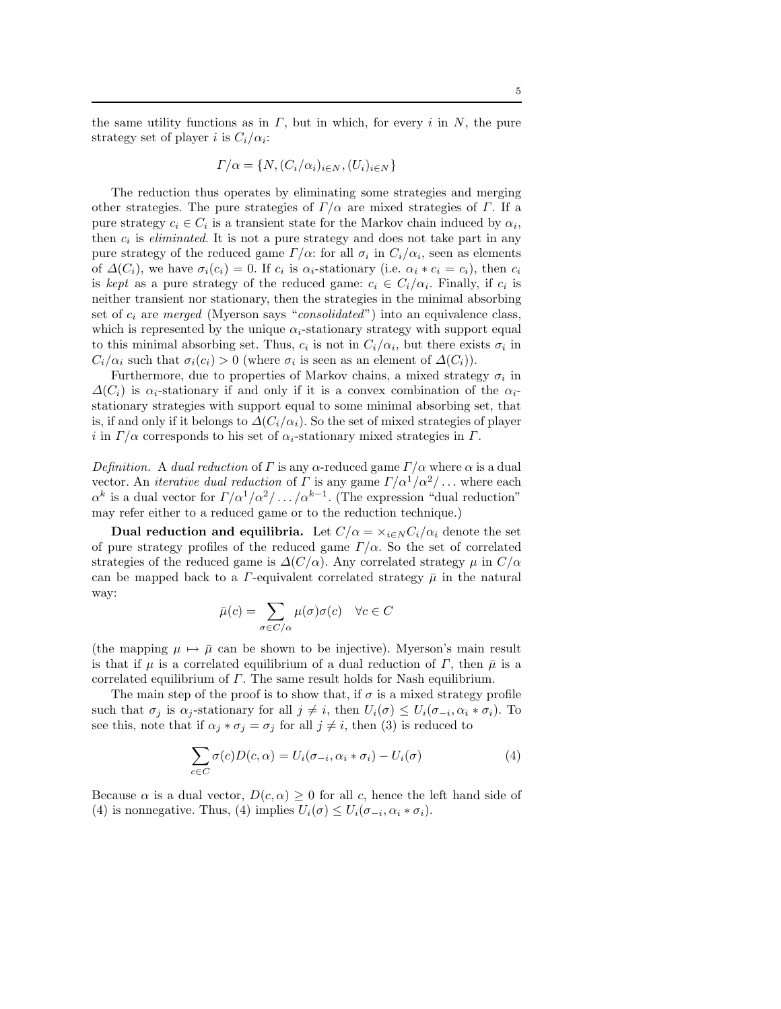$$
\Gamma/\alpha = \{N, (C_i/\alpha_i)_{i \in N}, (U_i)_{i \in N}\}\
$$

The reduction thus operates by eliminating some strategies and merging other strategies. The pure strategies of  $\Gamma/\alpha$  are mixed strategies of  $\Gamma$ . If a pure strategy  $c_i \in C_i$  is a transient state for the Markov chain induced by  $\alpha_i$ , then  $c_i$  is *eliminated*. It is not a pure strategy and does not take part in any pure strategy of the reduced game  $\Gamma/\alpha$ : for all  $\sigma_i$  in  $C_i/\alpha_i$ , seen as elements of  $\Delta(C_i)$ , we have  $\sigma_i(c_i) = 0$ . If  $c_i$  is  $\alpha_i$ -stationary (i.e.  $\alpha_i * c_i = c_i$ ), then  $c_i$ is kept as a pure strategy of the reduced game:  $c_i \in C_i/\alpha_i$ . Finally, if  $c_i$  is neither transient nor stationary, then the strategies in the minimal absorbing set of  $c_i$  are merged (Myerson says "consolidated") into an equivalence class, which is represented by the unique  $\alpha_i$ -stationary strategy with support equal to this minimal absorbing set. Thus,  $c_i$  is not in  $C_i/\alpha_i$ , but there exists  $\sigma_i$  in  $C_i/\alpha_i$  such that  $\sigma_i(c_i) > 0$  (where  $\sigma_i$  is seen as an element of  $\Delta(C_i)$ ).

Furthermore, due to properties of Markov chains, a mixed strategy  $\sigma_i$  in  $\Delta(C_i)$  is  $\alpha_i$ -stationary if and only if it is a convex combination of the  $\alpha_i$ stationary strategies with support equal to some minimal absorbing set, that is, if and only if it belongs to  $\Delta(C_i/\alpha_i)$ . So the set of mixed strategies of player i in  $\Gamma/\alpha$  corresponds to his set of  $\alpha_i$ -stationary mixed strategies in  $\Gamma$ .

Definition. A dual reduction of  $\Gamma$  is any  $\alpha$ -reduced game  $\Gamma/\alpha$  where  $\alpha$  is a dual vector. An *iterative dual reduction* of  $\Gamma$  is any game  $\Gamma/\alpha^1/\alpha^2/\ldots$  where each  $\alpha^k$  is a dual vector for  $\Gamma/\alpha^1/\alpha^2/\ldots/\alpha^{k-1}$ . (The expression "dual reduction" may refer either to a reduced game or to the reduction technique.)

**Dual reduction and equilibria.** Let  $C/\alpha = \frac{\chi_{i\in N}C_i}{\alpha_i}$  denote the set of pure strategy profiles of the reduced game  $\Gamma/\alpha$ . So the set of correlated strategies of the reduced game is  $\Delta(C/\alpha)$ . Any correlated strategy  $\mu$  in  $C/\alpha$ can be mapped back to a  $\Gamma$ -equivalent correlated strategy  $\bar{\mu}$  in the natural way:

$$
\bar{\mu}(c) = \sum_{\sigma \in C/\alpha} \mu(\sigma)\sigma(c) \quad \forall c \in C
$$

(the mapping  $\mu \mapsto \bar{\mu}$  can be shown to be injective). Myerson's main result is that if  $\mu$  is a correlated equilibrium of a dual reduction of  $\Gamma$ , then  $\bar{\mu}$  is a correlated equilibrium of  $\Gamma$ . The same result holds for Nash equilibrium.

The main step of the proof is to show that, if  $\sigma$  is a mixed strategy profile such that  $\sigma_j$  is  $\alpha_j$ -stationary for all  $j \neq i$ , then  $U_i(\sigma) \leq U_i(\sigma_{-i}, \alpha_i * \sigma_i)$ . To see this, note that if  $\alpha_j * \sigma_j = \sigma_j$  for all  $j \neq i$ , then (3) is reduced to

$$
\sum_{c \in C} \sigma(c) D(c, \alpha) = U_i(\sigma_{-i}, \alpha_i * \sigma_i) - U_i(\sigma)
$$
\n(4)

Because  $\alpha$  is a dual vector,  $D(c, \alpha) \geq 0$  for all c, hence the left hand side of (4) is nonnegative. Thus, (4) implies  $U_i(\sigma) \leq U_i(\sigma_{-i}, \alpha_i * \sigma_i)$ .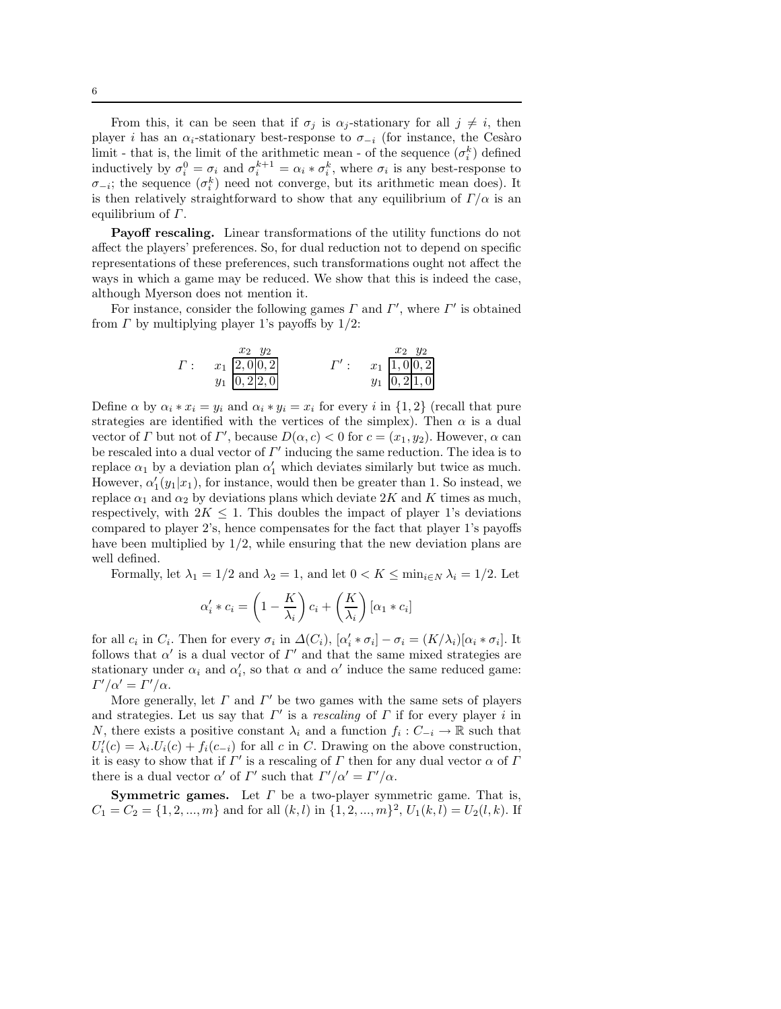From this, it can be seen that if  $\sigma_i$  is  $\alpha_i$ -stationary for all  $j \neq i$ , then player i has an  $\alpha_i$ -stationary best-response to  $\sigma_{-i}$  (for instance, the Cesàro limit - that is, the limit of the arithmetic mean - of the sequence  $(\sigma_i^k)$  defined inductively by  $\sigma_i^0 = \sigma_i$  and  $\sigma_i^{k+1} = \alpha_i * \sigma_i^k$ , where  $\sigma_i$  is any best-response to  $\sigma_{-i}$ ; the sequence  $(\sigma_i^k)$  need not converge, but its arithmetic mean does). It is then relatively straightforward to show that any equilibrium of  $\Gamma/\alpha$  is an equilibrium of  $\Gamma$ .

Payoff rescaling. Linear transformations of the utility functions do not affect the players' preferences. So, for dual reduction not to depend on specific representations of these preferences, such transformations ought not affect the ways in which a game may be reduced. We show that this is indeed the case, although Myerson does not mention it.

For instance, consider the following games  $\Gamma$  and  $\Gamma'$ , where  $\Gamma'$  is obtained from  $\Gamma$  by multiplying player 1's payoffs by  $1/2$ :

$$
\Gamma: \quad x_1 \frac{x_2}{2,0|0,2} \qquad \qquad \Gamma': \quad x_1 \frac{x_2}{1,0|0,2} \qquad \qquad \Gamma': \quad x_1 \frac{1,0|0,2}{0,2|1,0}
$$

Define  $\alpha$  by  $\alpha_i * x_i = y_i$  and  $\alpha_i * y_i = x_i$  for every i in  $\{1,2\}$  (recall that pure strategies are identified with the vertices of the simplex). Then  $\alpha$  is a dual vector of  $\Gamma$  but not of  $\Gamma'$ , because  $D(\alpha, c) < 0$  for  $c = (x_1, y_2)$ . However,  $\alpha$  can be rescaled into a dual vector of  $\Gamma'$  inducing the same reduction. The idea is to replace  $\alpha_1$  by a deviation plan  $\alpha'_1$  which deviates similarly but twice as much. However,  $\alpha_1'(y_1|x_1)$ , for instance, would then be greater than 1. So instead, we replace  $\alpha_1$  and  $\alpha_2$  by deviations plans which deviate 2K and K times as much, respectively, with  $2K \leq 1$ . This doubles the impact of player 1's deviations compared to player 2's, hence compensates for the fact that player 1's payoffs have been multiplied by  $1/2$ , while ensuring that the new deviation plans are well defined.

Formally, let  $\lambda_1 = 1/2$  and  $\lambda_2 = 1$ , and let  $0 < K \le \min_{i \in N} \lambda_i = 1/2$ . Let

$$
\alpha'_i * c_i = \left(1 - \frac{K}{\lambda_i}\right) c_i + \left(\frac{K}{\lambda_i}\right) [\alpha_1 * c_i]
$$

for all  $c_i$  in  $C_i$ . Then for every  $\sigma_i$  in  $\Delta(C_i)$ ,  $[\alpha'_i * \sigma_i] - \sigma_i = (K/\lambda_i)[\alpha_i * \sigma_i]$ . It follows that  $\alpha'$  is a dual vector of  $\Gamma'$  and that the same mixed strategies are stationary under  $\alpha_i$  and  $\alpha'_i$ , so that  $\alpha$  and  $\alpha'$  induce the same reduced game:  $\Gamma'/\alpha' = \Gamma'/\alpha.$ 

More generally, let  $\Gamma$  and  $\Gamma'$  be two games with the same sets of players and strategies. Let us say that  $\Gamma'$  is a *rescaling* of  $\Gamma$  if for every player i in N, there exists a positive constant  $\lambda_i$  and a function  $f_i: C_{-i} \to \mathbb{R}$  such that  $U'_i(c) = \lambda_i.U_i(c) + f_i(c_{-i})$  for all c in C. Drawing on the above construction, it is easy to show that if  $\Gamma'$  is a rescaling of  $\Gamma$  then for any dual vector  $\alpha$  of  $\Gamma$ there is a dual vector  $\alpha'$  of  $\Gamma'$  such that  $\Gamma'/\alpha' = \Gamma'/\alpha$ .

**Symmetric games.** Let  $\Gamma$  be a two-player symmetric game. That is,  $C_1 = C_2 = \{1, 2, ..., m\}$  and for all  $(k, l)$  in  $\{1, 2, ..., m\}^2$ ,  $U_1(k, l) = U_2(l, k)$ . If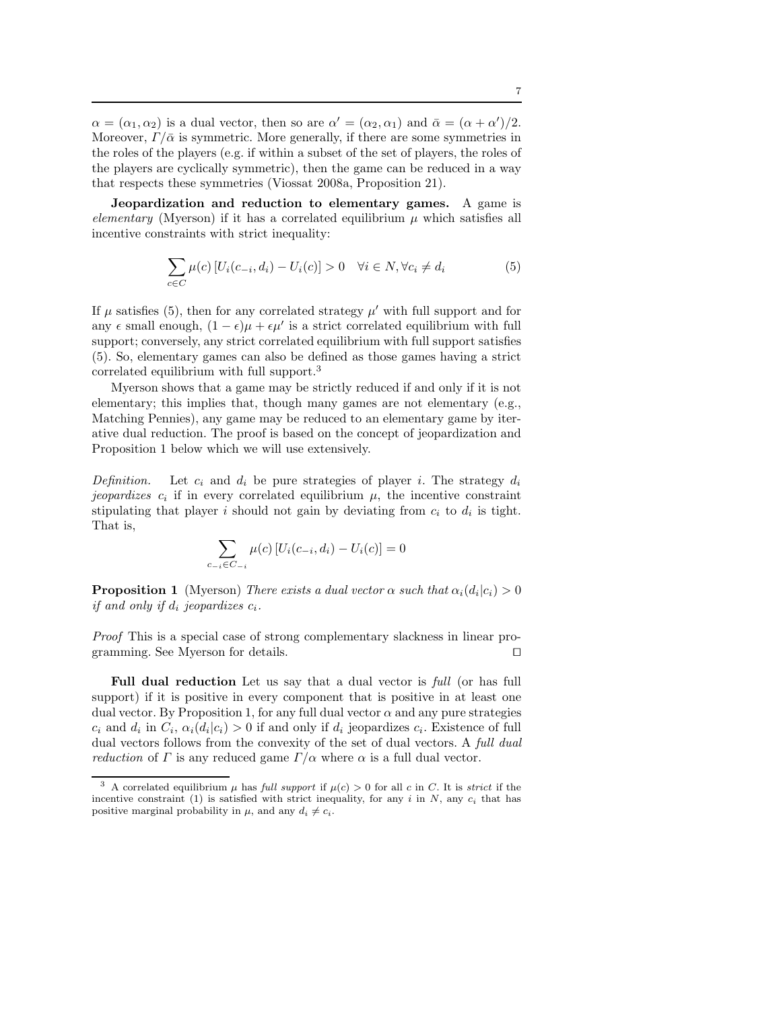$\alpha = (\alpha_1, \alpha_2)$  is a dual vector, then so are  $\alpha' = (\alpha_2, \alpha_1)$  and  $\bar{\alpha} = (\alpha + \alpha')/2$ . Moreover,  $\Gamma/\bar{\alpha}$  is symmetric. More generally, if there are some symmetries in the roles of the players (e.g. if within a subset of the set of players, the roles of the players are cyclically symmetric), then the game can be reduced in a way that respects these symmetries (Viossat 2008a, Proposition 21).

Jeopardization and reduction to elementary games. A game is elementary (Myerson) if it has a correlated equilibrium  $\mu$  which satisfies all incentive constraints with strict inequality:

$$
\sum_{c \in C} \mu(c) \left[ U_i(c_{-i}, d_i) - U_i(c) \right] > 0 \quad \forall i \in N, \forall c_i \neq d_i \tag{5}
$$

If  $\mu$  satisfies (5), then for any correlated strategy  $\mu'$  with full support and for any  $\epsilon$  small enough,  $(1 - \epsilon)\mu + \epsilon\mu'$  is a strict correlated equilibrium with full support; conversely, any strict correlated equilibrium with full support satisfies (5). So, elementary games can also be defined as those games having a strict correlated equilibrium with full support.<sup>3</sup>

Myerson shows that a game may be strictly reduced if and only if it is not elementary; this implies that, though many games are not elementary (e.g., Matching Pennies), any game may be reduced to an elementary game by iterative dual reduction. The proof is based on the concept of jeopardization and Proposition 1 below which we will use extensively.

Definition. Let  $c_i$  and  $d_i$  be pure strategies of player i. The strategy  $d_i$ jeopardizes  $c_i$  if in every correlated equilibrium  $\mu$ , the incentive constraint stipulating that player i should not gain by deviating from  $c_i$  to  $d_i$  is tight. That is,

$$
\sum_{c_{-i} \in C_{-i}} \mu(c) \left[ U_i(c_{-i}, d_i) - U_i(c) \right] = 0
$$

**Proposition 1** (Myerson) There exists a dual vector  $\alpha$  such that  $\alpha_i(d_i|c_i) > 0$ if and only if  $d_i$  jeopardizes  $c_i$ .

Proof This is a special case of strong complementary slackness in linear programming. See Myerson for details. □

Full dual reduction Let us say that a dual vector is *full* (or has full support) if it is positive in every component that is positive in at least one dual vector. By Proposition 1, for any full dual vector  $\alpha$  and any pure strategies  $c_i$  and  $d_i$  in  $C_i$ ,  $\alpha_i(d_i|c_i) > 0$  if and only if  $d_i$  jeopardizes  $c_i$ . Existence of full dual vectors follows from the convexity of the set of dual vectors. A *full dual reduction* of  $\Gamma$  is any reduced game  $\Gamma/\alpha$  where  $\alpha$  is a full dual vector.

<sup>&</sup>lt;sup>3</sup> A correlated equilibrium  $\mu$  has full support if  $\mu(c) > 0$  for all c in C. It is strict if the incentive constraint (1) is satisfied with strict inequality, for any i in  $N$ , any  $c_i$  that has positive marginal probability in  $\mu$ , and any  $d_i \neq c_i$ .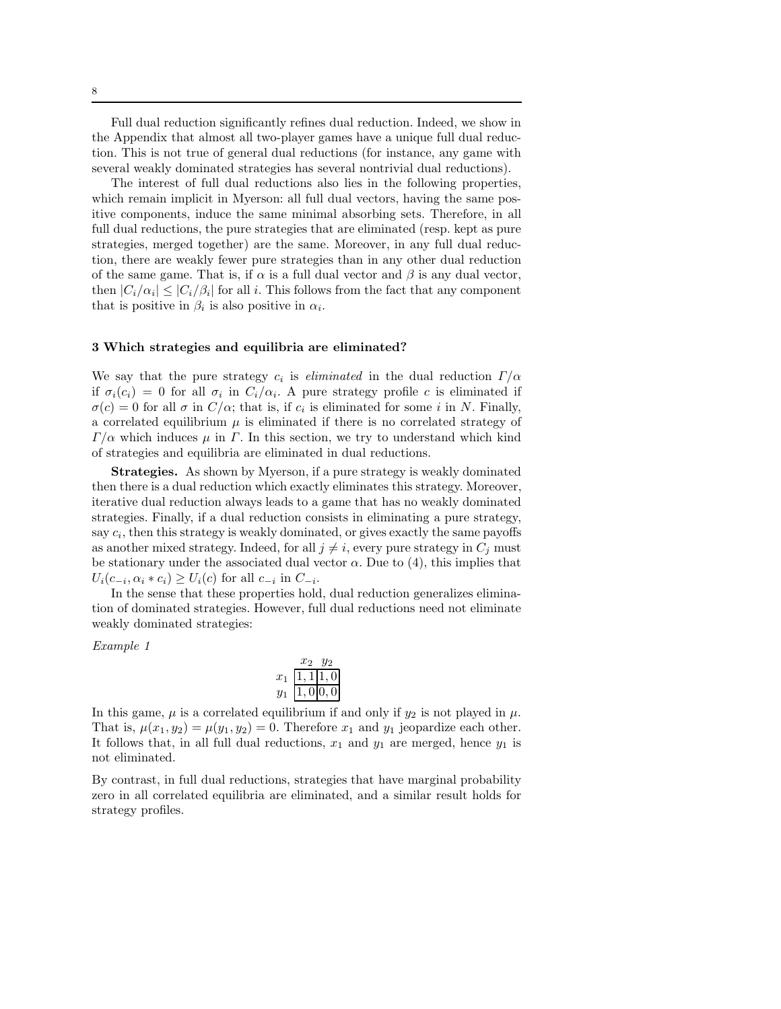Full dual reduction significantly refines dual reduction. Indeed, we show in the Appendix that almost all two-player games have a unique full dual reduction. This is not true of general dual reductions (for instance, any game with several weakly dominated strategies has several nontrivial dual reductions).

The interest of full dual reductions also lies in the following properties, which remain implicit in Myerson: all full dual vectors, having the same positive components, induce the same minimal absorbing sets. Therefore, in all full dual reductions, the pure strategies that are eliminated (resp. kept as pure strategies, merged together) are the same. Moreover, in any full dual reduction, there are weakly fewer pure strategies than in any other dual reduction of the same game. That is, if  $\alpha$  is a full dual vector and  $\beta$  is any dual vector, then  $|C_i/\alpha_i| \leq |C_i/\beta_i|$  for all i. This follows from the fact that any component that is positive in  $\beta_i$  is also positive in  $\alpha_i$ .

#### 3 Which strategies and equilibria are eliminated?

We say that the pure strategy  $c_i$  is *eliminated* in the dual reduction  $\Gamma/\alpha$ if  $\sigma_i(c_i) = 0$  for all  $\sigma_i$  in  $C_i/\alpha_i$ . A pure strategy profile c is eliminated if  $\sigma(c) = 0$  for all  $\sigma$  in  $C/\alpha$ ; that is, if  $c_i$  is eliminated for some i in N. Finally, a correlated equilibrium  $\mu$  is eliminated if there is no correlated strategy of  $\Gamma/\alpha$  which induces  $\mu$  in Γ. In this section, we try to understand which kind of strategies and equilibria are eliminated in dual reductions.

Strategies. As shown by Myerson, if a pure strategy is weakly dominated then there is a dual reduction which exactly eliminates this strategy. Moreover, iterative dual reduction always leads to a game that has no weakly dominated strategies. Finally, if a dual reduction consists in eliminating a pure strategy, say  $c_i$ , then this strategy is weakly dominated, or gives exactly the same payoffs as another mixed strategy. Indeed, for all  $j \neq i$ , every pure strategy in  $C_i$  must be stationary under the associated dual vector  $\alpha$ . Due to (4), this implies that  $U_i(c_{-i}, \alpha_i * c_i) \ge U_i(c)$  for all  $c_{-i}$  in  $C_{-i}$ .

In the sense that these properties hold, dual reduction generalizes elimination of dominated strategies. However, full dual reductions need not eliminate weakly dominated strategies:

Example 1

|      |                        | $\psi$                          |  |
|------|------------------------|---------------------------------|--|
| 21 Z | $\left 1\right\rangle$ | $\frac{1}{0}$ $\frac{1}{0}$ , 0 |  |
|      |                        | 1,0 0,0                         |  |

In this game,  $\mu$  is a correlated equilibrium if and only if  $y_2$  is not played in  $\mu$ . That is,  $\mu(x_1, y_2) = \mu(y_1, y_2) = 0$ . Therefore  $x_1$  and  $y_1$  jeopardize each other. It follows that, in all full dual reductions,  $x_1$  and  $y_1$  are merged, hence  $y_1$  is not eliminated.

By contrast, in full dual reductions, strategies that have marginal probability zero in all correlated equilibria are eliminated, and a similar result holds for strategy profiles.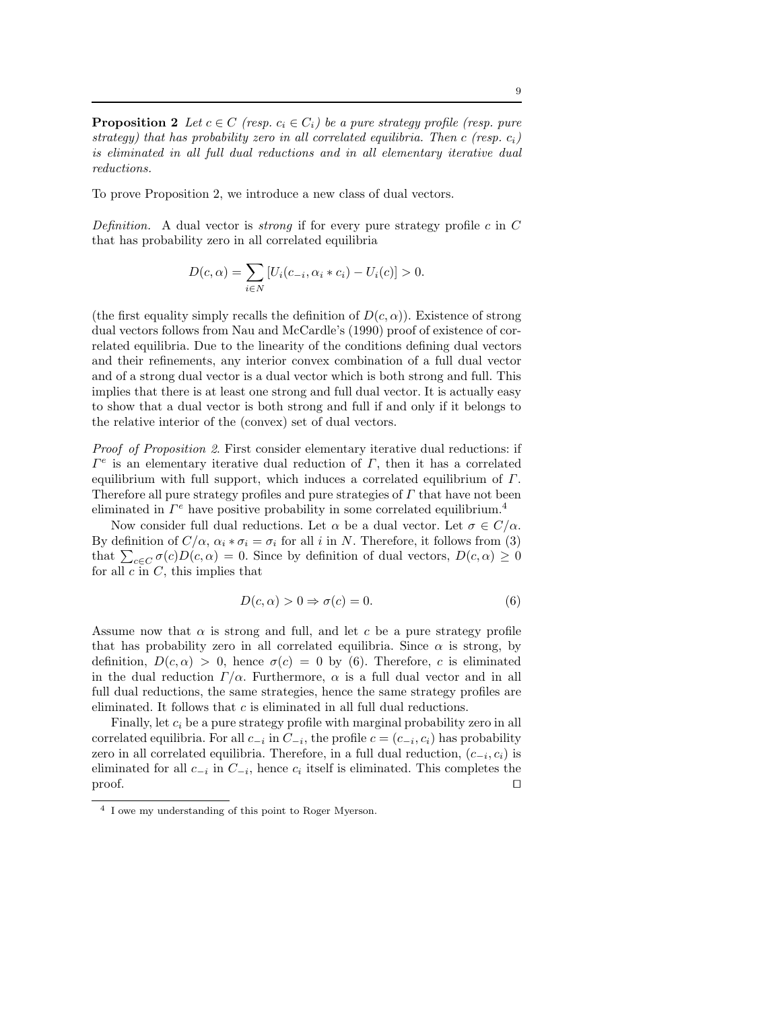**Proposition 2** Let  $c \in C$  (resp.  $c_i \in C_i$ ) be a pure strategy profile (resp. pure strategy) that has probability zero in all correlated equilibria. Then c (resp.  $c_i$ ) is eliminated in all full dual reductions and in all elementary iterative dual reductions.

To prove Proposition 2, we introduce a new class of dual vectors.

Definition. A dual vector is *strong* if for every pure strategy profile c in  $C$ that has probability zero in all correlated equilibria

$$
D(c, \alpha) = \sum_{i \in N} [U_i(c_{-i}, \alpha_i * c_i) - U_i(c)] > 0.
$$

(the first equality simply recalls the definition of  $D(c, \alpha)$ ). Existence of strong dual vectors follows from Nau and McCardle's (1990) proof of existence of correlated equilibria. Due to the linearity of the conditions defining dual vectors and their refinements, any interior convex combination of a full dual vector and of a strong dual vector is a dual vector which is both strong and full. This implies that there is at least one strong and full dual vector. It is actually easy to show that a dual vector is both strong and full if and only if it belongs to the relative interior of the (convex) set of dual vectors.

Proof of Proposition 2. First consider elementary iterative dual reductions: if  $\Gamma^e$  is an elementary iterative dual reduction of  $\Gamma$ , then it has a correlated equilibrium with full support, which induces a correlated equilibrium of  $\Gamma$ . Therefore all pure strategy profiles and pure strategies of  $\Gamma$  that have not been eliminated in  $\Gamma^e$  have positive probability in some correlated equilibrium.<sup>4</sup>

Now consider full dual reductions. Let  $\alpha$  be a dual vector. Let  $\sigma \in C/\alpha$ . By definition of  $C/\alpha$ ,  $\alpha_i * \sigma_i = \sigma_i$  for all i in N. Therefore, it follows from (3) that  $\sum_{c \in C} \sigma(c)D(c, \alpha) = 0$ . Since by definition of dual vectors,  $D(c, \alpha) \geq 0$ for all  $c$  in  $C$ , this implies that

$$
D(c, \alpha) > 0 \Rightarrow \sigma(c) = 0.
$$
 (6)

Assume now that  $\alpha$  is strong and full, and let c be a pure strategy profile that has probability zero in all correlated equilibria. Since  $\alpha$  is strong, by definition,  $D(c, \alpha) > 0$ , hence  $\sigma(c) = 0$  by (6). Therefore, c is eliminated in the dual reduction  $\Gamma/\alpha$ . Furthermore,  $\alpha$  is a full dual vector and in all full dual reductions, the same strategies, hence the same strategy profiles are eliminated. It follows that c is eliminated in all full dual reductions.

Finally, let  $c_i$  be a pure strategy profile with marginal probability zero in all correlated equilibria. For all  $c_{-i}$  in  $C_{-i}$ , the profile  $c = (c_{-i}, c_i)$  has probability zero in all correlated equilibria. Therefore, in a full dual reduction,  $(c_{-i}, c_i)$  is eliminated for all  $c_{-i}$  in  $C_{-i}$ , hence  $c_i$  itself is eliminated. This completes the proof. □

<sup>4</sup> I owe my understanding of this point to Roger Myerson.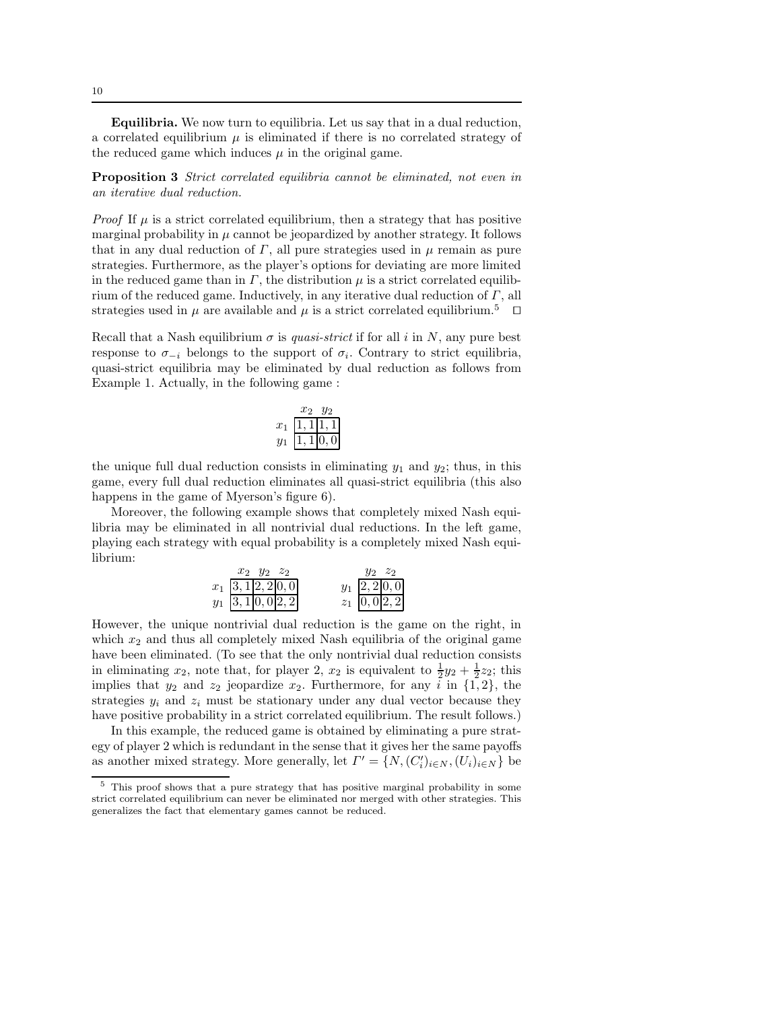Equilibria. We now turn to equilibria. Let us say that in a dual reduction, a correlated equilibrium  $\mu$  is eliminated if there is no correlated strategy of the reduced game which induces  $\mu$  in the original game.

Proposition 3 Strict correlated equilibria cannot be eliminated, not even in an iterative dual reduction.

*Proof* If  $\mu$  is a strict correlated equilibrium, then a strategy that has positive marginal probability in  $\mu$  cannot be jeopardized by another strategy. It follows that in any dual reduction of  $\Gamma$ , all pure strategies used in  $\mu$  remain as pure strategies. Furthermore, as the player's options for deviating are more limited in the reduced game than in  $\Gamma$ , the distribution  $\mu$  is a strict correlated equilibrium of the reduced game. Inductively, in any iterative dual reduction of  $\Gamma$ , all strategies used in  $\mu$  are available and  $\mu$  is a strict correlated equilibrium.<sup>5</sup> □

Recall that a Nash equilibrium  $\sigma$  is quasi-strict if for all i in N, any pure best response to  $\sigma_{-i}$  belongs to the support of  $\sigma_i$ . Contrary to strict equilibria, quasi-strict equilibria may be eliminated by dual reduction as follows from Example 1. Actually, in the following game :

| $x^{\cdot}$ | (1) | $\frac{1}{0}$<br>11.1 |
|-------------|-----|-----------------------|
| Y           | (1) | 10.                   |

the unique full dual reduction consists in eliminating  $y_1$  and  $y_2$ ; thus, in this game, every full dual reduction eliminates all quasi-strict equilibria (this also happens in the game of Myerson's figure 6).

Moreover, the following example shows that completely mixed Nash equilibria may be eliminated in all nontrivial dual reductions. In the left game, playing each strategy with equal probability is a completely mixed Nash equilibrium:

| $x_2$ $y_2$ $z_2$                                                   |  | $y_2$ $z_2$                    |
|---------------------------------------------------------------------|--|--------------------------------|
|                                                                     |  |                                |
| $x_1\overline{\begin{array}{l}3,1 2,2 0,0\\3,1 0,0 2,2\end{array}}$ |  | $y_1\ \frac{2,2 0,0}{0,0 2,2}$ |

However, the unique nontrivial dual reduction is the game on the right, in which  $x_2$  and thus all completely mixed Nash equilibria of the original game have been eliminated. (To see that the only nontrivial dual reduction consists in eliminating  $x_2$ , note that, for player 2,  $x_2$  is equivalent to  $\frac{1}{2}y_2 + \frac{1}{2}z_2$ ; this implies that  $y_2$  and  $z_2$  jeopardize  $x_2$ . Furthermore, for any  $\tilde{i}$  in  $\{1, 2\}$ , the strategies  $y_i$  and  $z_i$  must be stationary under any dual vector because they have positive probability in a strict correlated equilibrium. The result follows.)

In this example, the reduced game is obtained by eliminating a pure strategy of player 2 which is redundant in the sense that it gives her the same payoffs as another mixed strategy. More generally, let  $\Gamma' = \{N, (C'_i)_{i \in N}, (U_i)_{i \in N}\}$  be

<sup>5</sup> This proof shows that a pure strategy that has positive marginal probability in some strict correlated equilibrium can never be eliminated nor merged with other strategies. This generalizes the fact that elementary games cannot be reduced.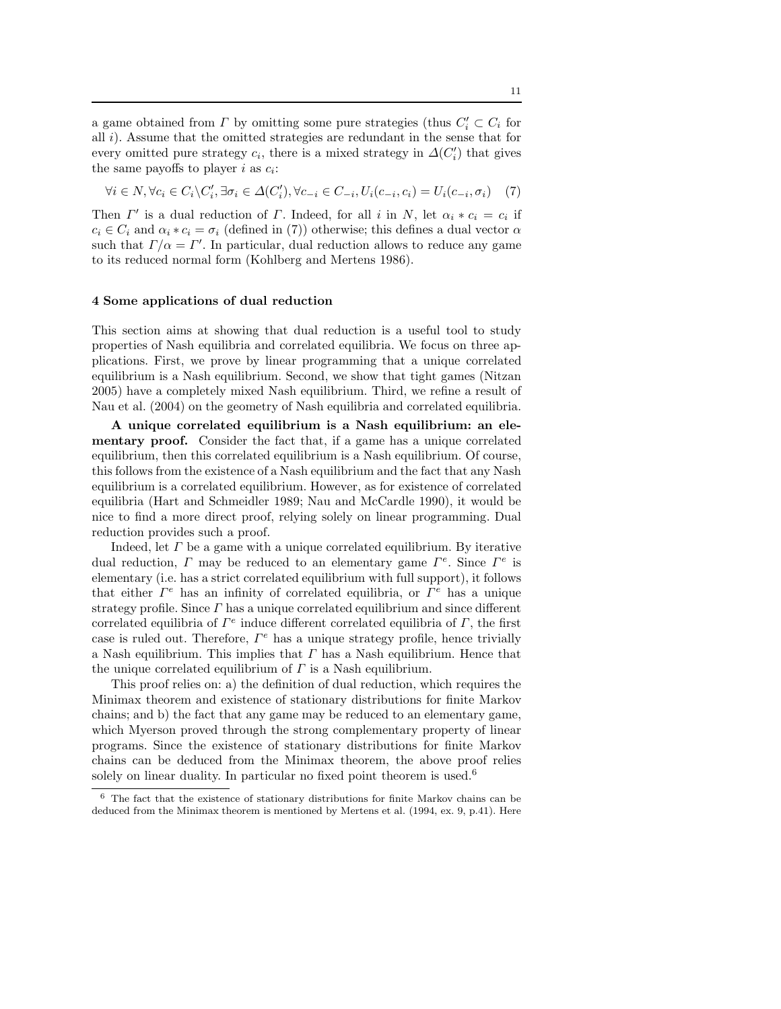a game obtained from  $\Gamma$  by omitting some pure strategies (thus  $C_i' \subset C_i$  for all i). Assume that the omitted strategies are redundant in the sense that for every omitted pure strategy  $c_i$ , there is a mixed strategy in  $\Delta(C_i')$  that gives the same payoffs to player  $i$  as  $c_i$ :

$$
\forall i \in N, \forall c_i \in C_i \setminus C'_i, \exists \sigma_i \in \Delta(C'_i), \forall c_{-i} \in C_{-i}, U_i(c_{-i}, c_i) = U_i(c_{-i}, \sigma_i) \tag{7}
$$

Then  $\Gamma'$  is a dual reduction of  $\Gamma$ . Indeed, for all i in N, let  $\alpha_i * c_i = c_i$  if  $c_i \in C_i$  and  $\alpha_i * c_i = \sigma_i$  (defined in (7)) otherwise; this defines a dual vector  $\alpha$ such that  $\Gamma/\alpha = \Gamma'$ . In particular, dual reduction allows to reduce any game to its reduced normal form (Kohlberg and Mertens 1986).

## 4 Some applications of dual reduction

This section aims at showing that dual reduction is a useful tool to study properties of Nash equilibria and correlated equilibria. We focus on three applications. First, we prove by linear programming that a unique correlated equilibrium is a Nash equilibrium. Second, we show that tight games (Nitzan 2005) have a completely mixed Nash equilibrium. Third, we refine a result of Nau et al. (2004) on the geometry of Nash equilibria and correlated equilibria.

A unique correlated equilibrium is a Nash equilibrium: an elementary proof. Consider the fact that, if a game has a unique correlated equilibrium, then this correlated equilibrium is a Nash equilibrium. Of course, this follows from the existence of a Nash equilibrium and the fact that any Nash equilibrium is a correlated equilibrium. However, as for existence of correlated equilibria (Hart and Schmeidler 1989; Nau and McCardle 1990), it would be nice to find a more direct proof, relying solely on linear programming. Dual reduction provides such a proof.

Indeed, let  $\Gamma$  be a game with a unique correlated equilibrium. By iterative dual reduction,  $\Gamma$  may be reduced to an elementary game  $\Gamma^e$ . Since  $\Gamma^e$  is elementary (i.e. has a strict correlated equilibrium with full support), it follows that either  $\Gamma^e$  has an infinity of correlated equilibria, or  $\Gamma^e$  has a unique strategy profile. Since  $\Gamma$  has a unique correlated equilibrium and since different correlated equilibria of  $\Gamma^e$  induce different correlated equilibria of  $\Gamma$ , the first case is ruled out. Therefore,  $\Gamma^e$  has a unique strategy profile, hence trivially a Nash equilibrium. This implies that  $\Gamma$  has a Nash equilibrium. Hence that the unique correlated equilibrium of  $\Gamma$  is a Nash equilibrium.

This proof relies on: a) the definition of dual reduction, which requires the Minimax theorem and existence of stationary distributions for finite Markov chains; and b) the fact that any game may be reduced to an elementary game, which Myerson proved through the strong complementary property of linear programs. Since the existence of stationary distributions for finite Markov chains can be deduced from the Minimax theorem, the above proof relies solely on linear duality. In particular no fixed point theorem is used.<sup>6</sup>

<sup>6</sup> The fact that the existence of stationary distributions for finite Markov chains can be deduced from the Minimax theorem is mentioned by Mertens et al. (1994, ex. 9, p.41). Here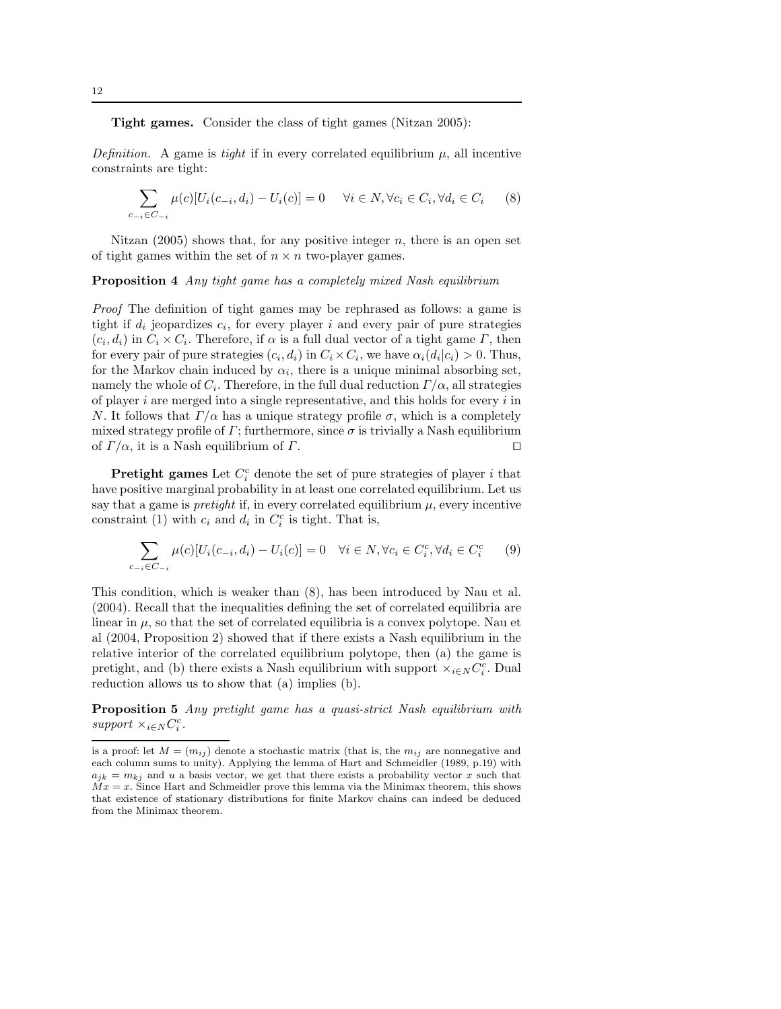Tight games. Consider the class of tight games (Nitzan 2005):

Definition. A game is tight if in every correlated equilibrium  $\mu$ , all incentive constraints are tight:

$$
\sum_{c_{-i}\in C_{-i}} \mu(c)[U_i(c_{-i}, d_i) - U_i(c)] = 0 \quad \forall i \in N, \forall c_i \in C_i, \forall d_i \in C_i \tag{8}
$$

Nitzan  $(2005)$  shows that, for any positive integer n, there is an open set of tight games within the set of  $n \times n$  two-player games.

Proposition 4 Any tight game has a completely mixed Nash equilibrium

Proof The definition of tight games may be rephrased as follows: a game is tight if  $d_i$  jeopardizes  $c_i$ , for every player i and every pair of pure strategies  $(c_i, d_i)$  in  $C_i \times C_i$ . Therefore, if  $\alpha$  is a full dual vector of a tight game  $\Gamma$ , then for every pair of pure strategies  $(c_i, d_i)$  in  $C_i \times C_i$ , we have  $\alpha_i(d_i|c_i) > 0$ . Thus, for the Markov chain induced by  $\alpha_i$ , there is a unique minimal absorbing set, namely the whole of  $C_i.$  Therefore, in the full dual reduction  $\Gamma/\alpha,$  all strategies of player  $i$  are merged into a single representative, and this holds for every  $i$  in N. It follows that  $\Gamma/\alpha$  has a unique strategy profile  $\sigma$ , which is a completely mixed strategy profile of  $\Gamma$ ; furthermore, since  $\sigma$  is trivially a Nash equilibrium of  $\Gamma/\alpha$ , it is a Nash equilibrium of  $\Gamma$ .

**Pretight games** Let  $C_i^c$  denote the set of pure strategies of player i that have positive marginal probability in at least one correlated equilibrium. Let us say that a game is *pretight* if, in every correlated equilibrium  $\mu$ , every incentive constraint (1) with  $c_i$  and  $d_i$  in  $C_i^c$  is tight. That is,

$$
\sum_{c_{-i} \in C_{-i}} \mu(c)[U_i(c_{-i}, d_i) - U_i(c)] = 0 \quad \forall i \in N, \forall c_i \in C_i^c, \forall d_i \in C_i^c \tag{9}
$$

This condition, which is weaker than (8), has been introduced by Nau et al. (2004). Recall that the inequalities defining the set of correlated equilibria are linear in  $\mu$ , so that the set of correlated equilibria is a convex polytope. Nau et al (2004, Proposition 2) showed that if there exists a Nash equilibrium in the relative interior of the correlated equilibrium polytope, then (a) the game is pretight, and (b) there exists a Nash equilibrium with support  $\times_{i\in N} C_i^c$ . Dual reduction allows us to show that (a) implies (b).

**Proposition 5** Any pretight game has a quasi-strict Nash equilibrium with  $support \times_{i\in N} C^c_i$ .

is a proof: let  $M = (m_{ij})$  denote a stochastic matrix (that is, the  $m_{ij}$  are nonnegative and each column sums to unity). Applying the lemma of Hart and Schmeidler (1989, p.19) with  $a_{jk} = m_{kj}$  and u a basis vector, we get that there exists a probability vector x such that  $Mx = x$ . Since Hart and Schmeidler prove this lemma via the Minimax theorem, this shows that existence of stationary distributions for finite Markov chains can indeed be deduced from the Minimax theorem.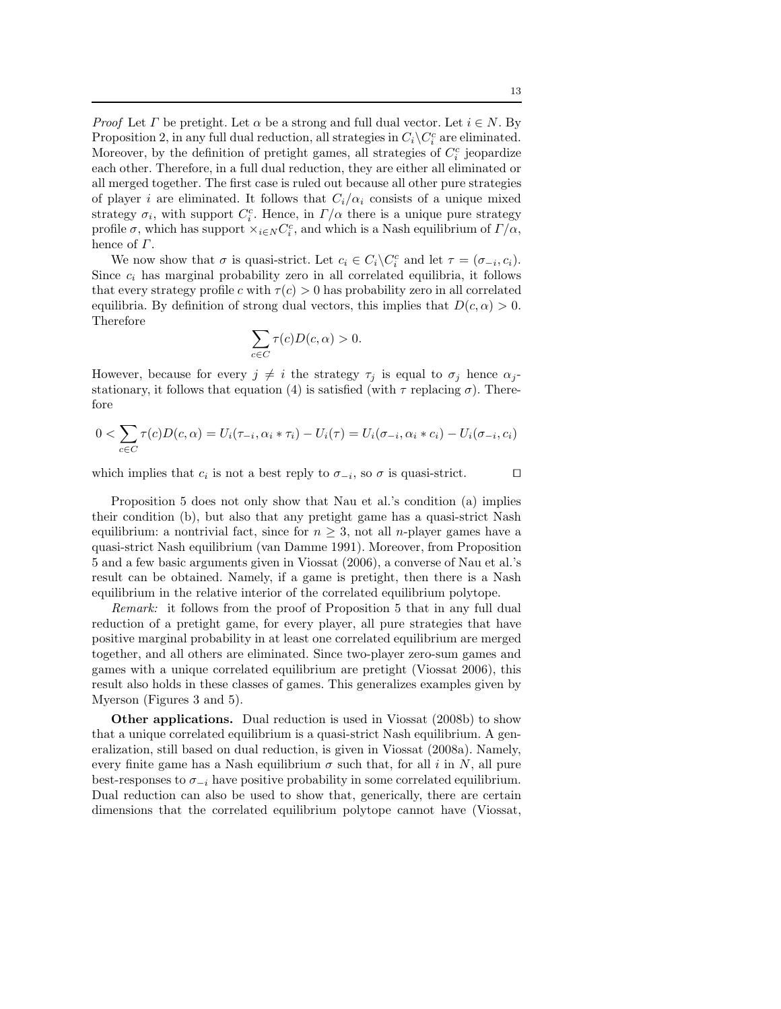*Proof* Let  $\Gamma$  be pretight. Let  $\alpha$  be a strong and full dual vector. Let  $i \in N$ . By Proposition 2, in any full dual reduction, all strategies in  $C_i\backslash C_i^c$  are eliminated. Moreover, by the definition of pretight games, all strategies of  $C_i^c$  jeopardize each other. Therefore, in a full dual reduction, they are either all eliminated or all merged together. The first case is ruled out because all other pure strategies of player i are eliminated. It follows that  $C_i/\alpha_i$  consists of a unique mixed strategy  $\sigma_i$ , with support  $C_i^c$ . Hence, in  $\Gamma/\alpha$  there is a unique pure strategy profile  $\sigma$ , which has support  $\times_{i \in N} C_i^c$ , and which is a Nash equilibrium of  $\Gamma/\alpha$ , hence of  $\Gamma$ .

We now show that  $\sigma$  is quasi-strict. Let  $c_i \in C_i \backslash C_i^c$  and let  $\tau = (\sigma_{-i}, c_i)$ . Since  $c_i$  has marginal probability zero in all correlated equilibria, it follows that every strategy profile c with  $\tau(c) > 0$  has probability zero in all correlated equilibria. By definition of strong dual vectors, this implies that  $D(c, \alpha) > 0$ . Therefore

$$
\sum_{c \in C} \tau(c) D(c, \alpha) > 0.
$$

However, because for every  $j \neq i$  the strategy  $\tau_j$  is equal to  $\sigma_j$  hence  $\alpha_j$ stationary, it follows that equation (4) is satisfied (with  $\tau$  replacing  $\sigma$ ). Therefore

$$
0 < \sum_{c \in C} \tau(c)D(c, \alpha) = U_i(\tau_{-i}, \alpha_i * \tau_i) - U_i(\tau) = U_i(\sigma_{-i}, \alpha_i * c_i) - U_i(\sigma_{-i}, c_i)
$$

which implies that  $c_i$  is not a best reply to  $\sigma_{-i}$ , so  $\sigma$  is quasi-strict.  $\Box$ 

Proposition 5 does not only show that Nau et al.'s condition (a) implies their condition (b), but also that any pretight game has a quasi-strict Nash equilibrium: a nontrivial fact, since for  $n \geq 3$ , not all *n*-player games have a quasi-strict Nash equilibrium (van Damme 1991). Moreover, from Proposition 5 and a few basic arguments given in Viossat (2006), a converse of Nau et al.'s result can be obtained. Namely, if a game is pretight, then there is a Nash equilibrium in the relative interior of the correlated equilibrium polytope.

Remark: it follows from the proof of Proposition 5 that in any full dual reduction of a pretight game, for every player, all pure strategies that have positive marginal probability in at least one correlated equilibrium are merged together, and all others are eliminated. Since two-player zero-sum games and games with a unique correlated equilibrium are pretight (Viossat 2006), this result also holds in these classes of games. This generalizes examples given by Myerson (Figures 3 and 5).

Other applications. Dual reduction is used in Viossat (2008b) to show that a unique correlated equilibrium is a quasi-strict Nash equilibrium. A generalization, still based on dual reduction, is given in Viossat (2008a). Namely, every finite game has a Nash equilibrium  $\sigma$  such that, for all i in N, all pure best-responses to  $\sigma_{-i}$  have positive probability in some correlated equilibrium. Dual reduction can also be used to show that, generically, there are certain dimensions that the correlated equilibrium polytope cannot have (Viossat,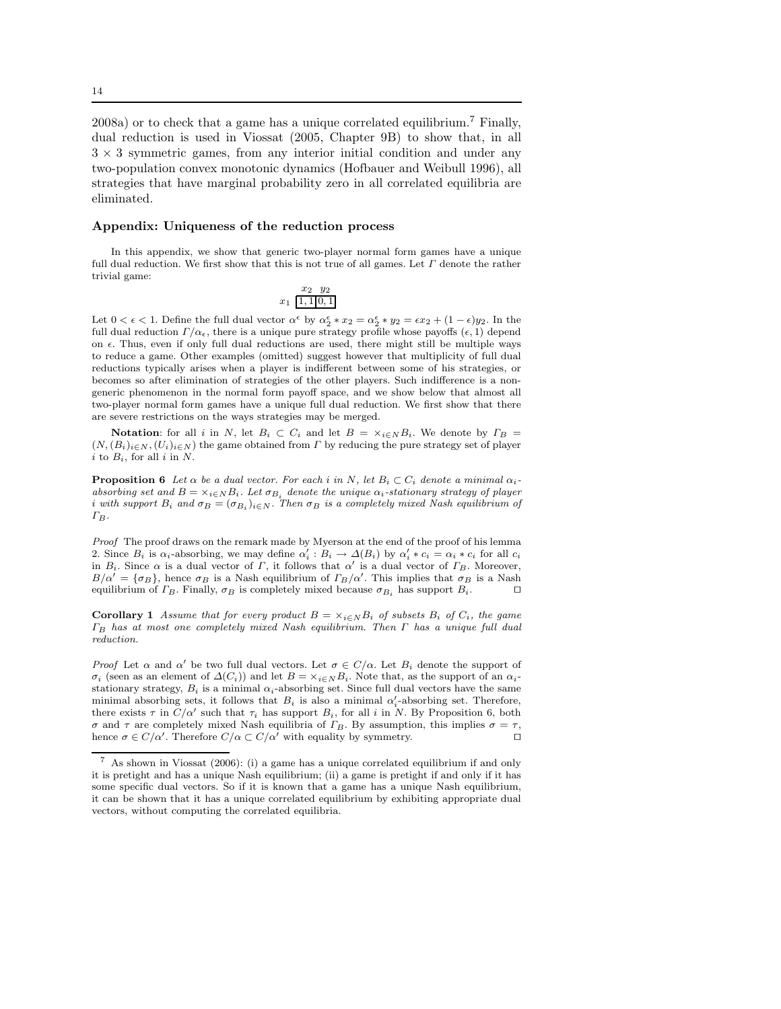2008a) or to check that a game has a unique correlated equilibrium.<sup>7</sup> Finally, dual reduction is used in Viossat (2005, Chapter 9B) to show that, in all  $3 \times 3$  symmetric games, from any interior initial condition and under any two-population convex monotonic dynamics (Hofbauer and Weibull 1996), all strategies that have marginal probability zero in all correlated equilibria are eliminated.

### Appendix: Uniqueness of the reduction process

In this appendix, we show that generic two-player normal form games have a unique full dual reduction. We first show that this is not true of all games. Let  $\Gamma$  denote the rather trivial game:

$$
x_1 \ \frac{x_2 \ y_2}{1,1|0,1}
$$

Let  $0 < \epsilon < 1$ . Define the full dual vector  $\alpha^{\epsilon}$  by  $\alpha^{\epsilon}_2 * x_2 = \alpha^{\epsilon}_2 * y_2 = \epsilon x_2 + (1 - \epsilon)y_2$ . In the full dual reduction  $\Gamma/\alpha_{\epsilon}$ , there is a unique pure strategy profile whose payoffs  $(\epsilon, 1)$  depend on  $\epsilon$ . Thus, even if only full dual reductions are used, there might still be multiple ways to reduce a game. Other examples (omitted) suggest however that multiplicity of full dual reductions typically arises when a player is indifferent between some of his strategies, or becomes so after elimination of strategies of the other players. Such indifference is a nongeneric phenomenon in the normal form payoff space, and we show below that almost all two-player normal form games have a unique full dual reduction. We first show that there are severe restrictions on the ways strategies may be merged.

**Notation:** for all i in N, let  $B_i \subset C_i$  and let  $B = \times_{i \in N} B_i$ . We denote by  $\Gamma_B =$  $(N, (B_i)_{i\in N}, (U_i)_{i\in N})$  the game obtained from  $\Gamma$  by reducing the pure strategy set of player i to  $B_i$ , for all i in N.

**Proposition 6** Let  $\alpha$  be a dual vector. For each i in N, let  $B_i \subset C_i$  denote a minimal  $\alpha_i$ absorbing set and  $B = \times_{i \in N} B_i$ . Let  $\sigma_{B_i}$  denote the unique  $\alpha_i$ -stationary strategy of player *i* with support  $B_i$  and  $\sigma_B = (\sigma_{B_i})_{i \in N}$ . Then  $\sigma_B$  is a completely mixed Nash equilibrium of  $\Gamma_B$ .

Proof The proof draws on the remark made by Myerson at the end of the proof of his lemma 2. Since  $B_i$  is  $\alpha_i$ -absorbing, we may define  $\alpha'_i : B_i \to \Delta(B_i)$  by  $\alpha'_i * c_i = \alpha_i * c_i$  for all  $c_i$ in  $B_i$ . Since  $\alpha$  is a dual vector of  $\Gamma$ , it follows that  $\alpha'$  is a dual vector of  $\Gamma_B$ . Moreover,  $B/\alpha' = {\sigma_B}$ , hence  $\sigma_B$  is a Nash equilibrium of  $\Gamma_B/\alpha'$ . This implies that  $\sigma_B$  is a Nash equilibrium of  $\Gamma_B$ . Finally,  $\sigma_B$  is completely mixed because  $\sigma_{B_i}$  has support  $B_i$ .  $\Box$ 

**Corollary 1** Assume that for every product  $B = \times_{i \in N} B_i$  of subsets  $B_i$  of  $C_i$ , the game  $\Gamma_B$  has at most one completely mixed Nash equilibrium. Then  $\Gamma$  has a unique full dual reduction.

Proof Let  $\alpha$  and  $\alpha'$  be two full dual vectors. Let  $\sigma \in C/\alpha$ . Let  $B_i$  denote the support of  $\sigma_i$  (seen as an element of  $\Delta(C_i)$ ) and let  $B = \times_{i \in N} B_i$ . Note that, as the support of an  $\alpha_i$ stationary strategy,  $B_i$  is a minimal  $\alpha_i$ -absorbing set. Since full dual vectors have the same minimal absorbing sets, it follows that  $B_i$  is also a minimal  $\alpha'_i$ -absorbing set. Therefore, there exists  $\tau$  in  $\tilde{C}/\alpha'$  such that  $\tau_i$  has support  $B_i$ , for all i in N. By Proposition 6, both σ and τ are completely mixed Nash equilibria of  $\Gamma_B$ . By assumption, this implies  $\sigma = \tau$ , hence  $\sigma \in C/\alpha'$ . Therefore  $C/\alpha \subset C/\alpha'$  with equality by symmetry. hence  $\sigma \in C/\alpha'$ . Therefore  $C/\alpha \subset C/\alpha'$  with equality by symmetry. □

<sup>7</sup> As shown in Viossat (2006): (i) a game has a unique correlated equilibrium if and only it is pretight and has a unique Nash equilibrium; (ii) a game is pretight if and only if it has some specific dual vectors. So if it is known that a game has a unique Nash equilibrium, it can be shown that it has a unique correlated equilibrium by exhibiting appropriate dual vectors, without computing the correlated equilibria.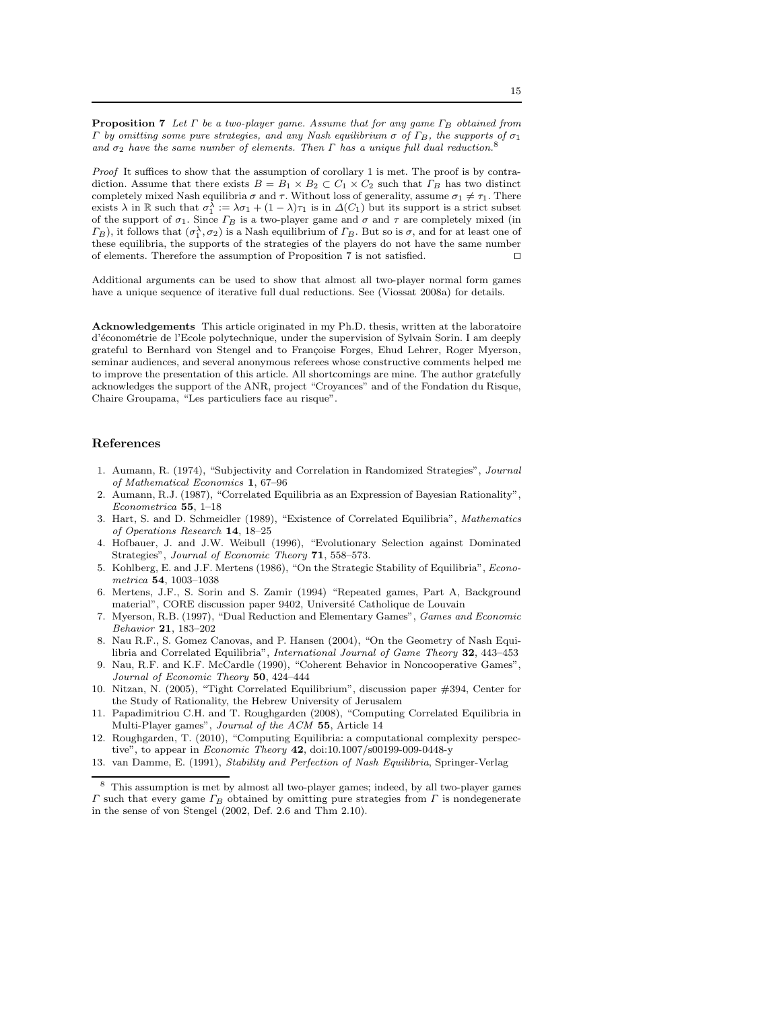**Proposition 7** Let  $\Gamma$  be a two-player game. Assume that for any game  $\Gamma_B$  obtained from Γ by omitting some pure strategies, and any Nash equilibrium σ of Γ<sub>B</sub>, the supports of σ<sub>1</sub> and  $\sigma_2$  have the same number of elements. Then  $\Gamma$  has a unique full dual reduction.<sup>8</sup>

Proof It suffices to show that the assumption of corollary 1 is met. The proof is by contradiction. Assume that there exists  $B = B_1 \times B_2 \subset C_1 \times C_2$  such that  $\Gamma_B$  has two distinct completely mixed Nash equilibria  $\sigma$  and  $\tau$ . Without loss of generality, assume  $\sigma_1 \neq \tau_1$ . There exists  $\lambda$  in  $\mathbb R$  such that  $\sigma_1^{\lambda} := \lambda \sigma_1 + (1 - \lambda)\tau_1$  is in  $\Delta(C_1)$  but its support is a strict subset of the support of  $\sigma_1$ . Since  $\varGamma_B$  is a two-player game and  $\sigma$  and  $\tau$  are completely mixed (in  $(\Gamma_B)$ , it follows that  $(\sigma_1^{\lambda}, \sigma_2)$  is a Nash equilibrium of  $\Gamma_B$ . But so is  $\sigma$ , and for at least one of these equilibria, the supports of the strategies of the players do not have the same number of elements. Therefore the assumption of Proposition 7 is not satisfied. ⊓⊔

Additional arguments can be used to show that almost all two-player normal form games have a unique sequence of iterative full dual reductions. See (Viossat 2008a) for details.

Acknowledgements This article originated in my Ph.D. thesis, written at the laboratoire d'économétrie de l'Ecole polytechnique, under the supervision of Sylvain Sorin. I am deeply grateful to Bernhard von Stengel and to Françoise Forges, Ehud Lehrer, Roger Myerson, seminar audiences, and several anonymous referees whose constructive comments helped me to improve the presentation of this article. All shortcomings are mine. The author gratefully acknowledges the support of the ANR, project "Croyances" and of the Fondation du Risque, Chaire Groupama, "Les particuliers face au risque".

#### References

- 1. Aumann, R. (1974), "Subjectivity and Correlation in Randomized Strategies", Journal of Mathematical Economics 1, 67–96
- 2. Aumann, R.J. (1987), "Correlated Equilibria as an Expression of Bayesian Rationality", Econometrica 55, 1–18
- 3. Hart, S. and D. Schmeidler (1989), "Existence of Correlated Equilibria", Mathematics of Operations Research 14, 18–25
- 4. Hofbauer, J. and J.W. Weibull (1996), "Evolutionary Selection against Dominated Strategies", Journal of Economic Theory 71, 558–573.
- 5. Kohlberg, E. and J.F. Mertens (1986), "On the Strategic Stability of Equilibria", Econometrica 54, 1003–1038
- 6. Mertens, J.F., S. Sorin and S. Zamir (1994) "Repeated games, Part A, Background material", CORE discussion paper 9402, Université Catholique de Louvain
- 7. Myerson, R.B. (1997), "Dual Reduction and Elementary Games", Games and Economic Behavior 21, 183–202
- 8. Nau R.F., S. Gomez Canovas, and P. Hansen (2004), "On the Geometry of Nash Equilibria and Correlated Equilibria", International Journal of Game Theory 32, 443–453
- 9. Nau, R.F. and K.F. McCardle (1990), "Coherent Behavior in Noncooperative Games", Journal of Economic Theory 50, 424–444
- 10. Nitzan, N. (2005), "Tight Correlated Equilibrium", discussion paper #394, Center for the Study of Rationality, the Hebrew University of Jerusalem
- 11. Papadimitriou C.H. and T. Roughgarden (2008), "Computing Correlated Equilibria in Multi-Player games", Journal of the ACM 55, Article 14
- 12. Roughgarden, T. (2010), "Computing Equilibria: a computational complexity perspective", to appear in Economic Theory 42, doi:10.1007/s00199-009-0448-y
- 13. van Damme, E. (1991), Stability and Perfection of Nash Equilibria, Springer-Verlag

<sup>8</sup> This assumption is met by almost all two-player games; indeed, by all two-player games Γ such that every game  $Γ_B$  obtained by omitting pure strategies from Γ is nondegenerate in the sense of von Stengel (2002, Def. 2.6 and Thm 2.10).